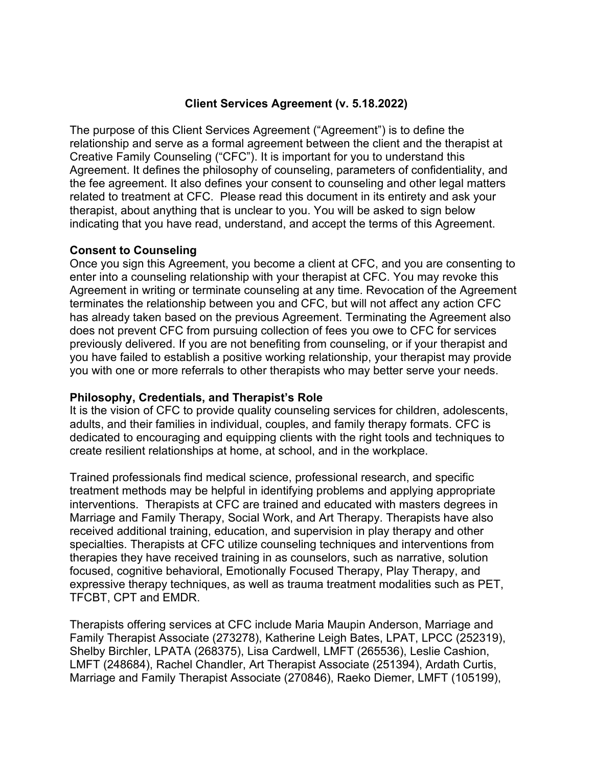# **Client Services Agreement (v. 5.18.2022)**

The purpose of this Client Services Agreement ("Agreement") is to define the relationship and serve as a formal agreement between the client and the therapist at Creative Family Counseling ("CFC"). It is important for you to understand this Agreement. It defines the philosophy of counseling, parameters of confidentiality, and the fee agreement. It also defines your consent to counseling and other legal matters related to treatment at CFC. Please read this document in its entirety and ask your therapist, about anything that is unclear to you. You will be asked to sign below indicating that you have read, understand, and accept the terms of this Agreement.

### **Consent to Counseling**

Once you sign this Agreement, you become a client at CFC, and you are consenting to enter into a counseling relationship with your therapist at CFC. You may revoke this Agreement in writing or terminate counseling at any time. Revocation of the Agreement terminates the relationship between you and CFC, but will not affect any action CFC has already taken based on the previous Agreement. Terminating the Agreement also does not prevent CFC from pursuing collection of fees you owe to CFC for services previously delivered. If you are not benefiting from counseling, or if your therapist and you have failed to establish a positive working relationship, your therapist may provide you with one or more referrals to other therapists who may better serve your needs.

# **Philosophy, Credentials, and Therapist's Role**

It is the vision of CFC to provide quality counseling services for children, adolescents, adults, and their families in individual, couples, and family therapy formats. CFC is dedicated to encouraging and equipping clients with the right tools and techniques to create resilient relationships at home, at school, and in the workplace.

Trained professionals find medical science, professional research, and specific treatment methods may be helpful in identifying problems and applying appropriate interventions. Therapists at CFC are trained and educated with masters degrees in Marriage and Family Therapy, Social Work, and Art Therapy. Therapists have also received additional training, education, and supervision in play therapy and other specialties. Therapists at CFC utilize counseling techniques and interventions from therapies they have received training in as counselors, such as narrative, solution focused, cognitive behavioral, Emotionally Focused Therapy, Play Therapy, and expressive therapy techniques, as well as trauma treatment modalities such as PET, TFCBT, CPT and EMDR.

Therapists offering services at CFC include Maria Maupin Anderson, Marriage and Family Therapist Associate (273278), Katherine Leigh Bates, LPAT, LPCC (252319), Shelby Birchler, LPATA (268375), Lisa Cardwell, LMFT (265536), Leslie Cashion, LMFT (248684), Rachel Chandler, Art Therapist Associate (251394), Ardath Curtis, Marriage and Family Therapist Associate (270846), Raeko Diemer, LMFT (105199),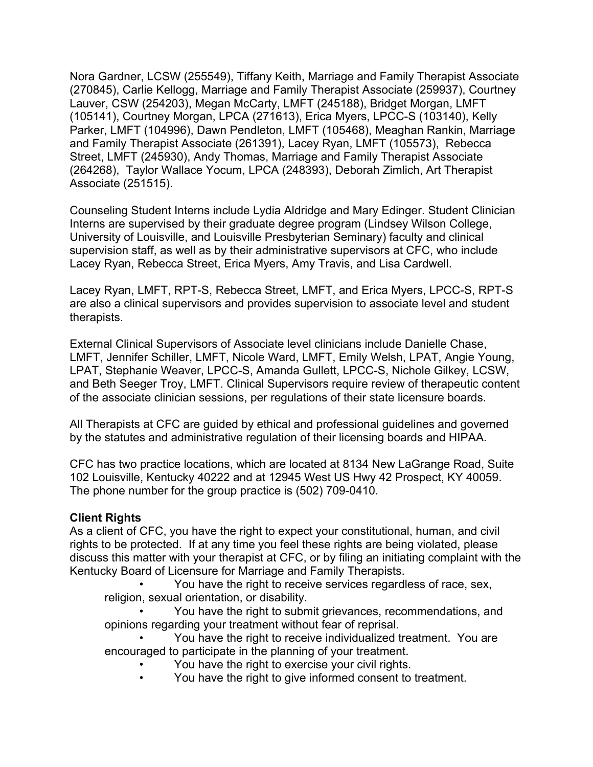Nora Gardner, LCSW (255549), Tiffany Keith, Marriage and Family Therapist Associate (270845), Carlie Kellogg, Marriage and Family Therapist Associate (259937), Courtney Lauver, CSW (254203), Megan McCarty, LMFT (245188), Bridget Morgan, LMFT (105141), Courtney Morgan, LPCA (271613), Erica Myers, LPCC-S (103140), Kelly Parker, LMFT (104996), Dawn Pendleton, LMFT (105468), Meaghan Rankin, Marriage and Family Therapist Associate (261391), Lacey Ryan, LMFT (105573), Rebecca Street, LMFT (245930), Andy Thomas, Marriage and Family Therapist Associate (264268), Taylor Wallace Yocum, LPCA (248393), Deborah Zimlich, Art Therapist Associate (251515).

Counseling Student Interns include Lydia Aldridge and Mary Edinger. Student Clinician Interns are supervised by their graduate degree program (Lindsey Wilson College, University of Louisville, and Louisville Presbyterian Seminary) faculty and clinical supervision staff, as well as by their administrative supervisors at CFC, who include Lacey Ryan, Rebecca Street, Erica Myers, Amy Travis, and Lisa Cardwell.

Lacey Ryan, LMFT, RPT-S, Rebecca Street, LMFT, and Erica Myers, LPCC-S, RPT-S are also a clinical supervisors and provides supervision to associate level and student therapists.

External Clinical Supervisors of Associate level clinicians include Danielle Chase, LMFT, Jennifer Schiller, LMFT, Nicole Ward, LMFT, Emily Welsh, LPAT, Angie Young, LPAT, Stephanie Weaver, LPCC-S, Amanda Gullett, LPCC-S, Nichole Gilkey, LCSW, and Beth Seeger Troy, LMFT. Clinical Supervisors require review of therapeutic content of the associate clinician sessions, per regulations of their state licensure boards.

All Therapists at CFC are guided by ethical and professional guidelines and governed by the statutes and administrative regulation of their licensing boards and HIPAA.

CFC has two practice locations, which are located at 8134 New LaGrange Road, Suite 102 Louisville, Kentucky 40222 and at 12945 West US Hwy 42 Prospect, KY 40059. The phone number for the group practice is (502) 709-0410.

# **Client Rights**

As a client of CFC, you have the right to expect your constitutional, human, and civil rights to be protected. If at any time you feel these rights are being violated, please discuss this matter with your therapist at CFC, or by filing an initiating complaint with the Kentucky Board of Licensure for Marriage and Family Therapists.

• You have the right to receive services regardless of race, sex, religion, sexual orientation, or disability.

• You have the right to submit grievances, recommendations, and opinions regarding your treatment without fear of reprisal.

• You have the right to receive individualized treatment. You are encouraged to participate in the planning of your treatment.

- You have the right to exercise your civil rights.
- You have the right to give informed consent to treatment.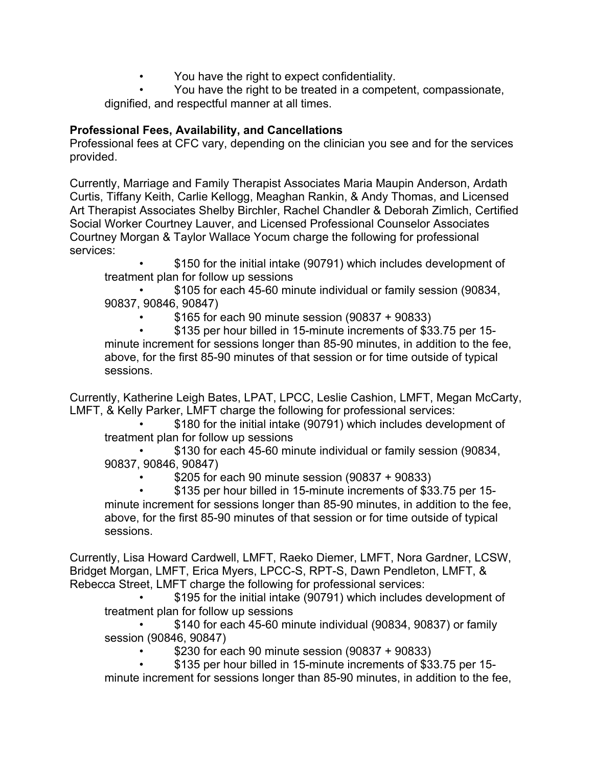• You have the right to expect confidentiality.

• You have the right to be treated in a competent, compassionate, dignified, and respectful manner at all times.

# **Professional Fees, Availability, and Cancellations**

Professional fees at CFC vary, depending on the clinician you see and for the services provided.

Currently, Marriage and Family Therapist Associates Maria Maupin Anderson, Ardath Curtis, Tiffany Keith, Carlie Kellogg, Meaghan Rankin, & Andy Thomas, and Licensed Art Therapist Associates Shelby Birchler, Rachel Chandler & Deborah Zimlich, Certified Social Worker Courtney Lauver, and Licensed Professional Counselor Associates Courtney Morgan & Taylor Wallace Yocum charge the following for professional services:

• \$150 for the initial intake (90791) which includes development of treatment plan for follow up sessions

• \$105 for each 45-60 minute individual or family session (90834, 90837, 90846, 90847)

• \$165 for each 90 minute session (90837 + 90833)

• \$135 per hour billed in 15-minute increments of \$33.75 per 15 minute increment for sessions longer than 85-90 minutes, in addition to the fee, above, for the first 85-90 minutes of that session or for time outside of typical sessions.

Currently, Katherine Leigh Bates, LPAT, LPCC, Leslie Cashion, LMFT, Megan McCarty, LMFT, & Kelly Parker, LMFT charge the following for professional services:

• \$180 for the initial intake (90791) which includes development of treatment plan for follow up sessions

• \$130 for each 45-60 minute individual or family session (90834, 90837, 90846, 90847)

• \$205 for each 90 minute session (90837 + 90833)

• \$135 per hour billed in 15-minute increments of \$33.75 per 15 minute increment for sessions longer than 85-90 minutes, in addition to the fee, above, for the first 85-90 minutes of that session or for time outside of typical sessions.

Currently, Lisa Howard Cardwell, LMFT, Raeko Diemer, LMFT, Nora Gardner, LCSW, Bridget Morgan, LMFT, Erica Myers, LPCC-S, RPT-S, Dawn Pendleton, LMFT, & Rebecca Street, LMFT charge the following for professional services:

\$195 for the initial intake (90791) which includes development of treatment plan for follow up sessions

• \$140 for each 45-60 minute individual (90834, 90837) or family session (90846, 90847)

• \$230 for each 90 minute session (90837 + 90833)

• \$135 per hour billed in 15-minute increments of \$33.75 per 15 minute increment for sessions longer than 85-90 minutes, in addition to the fee,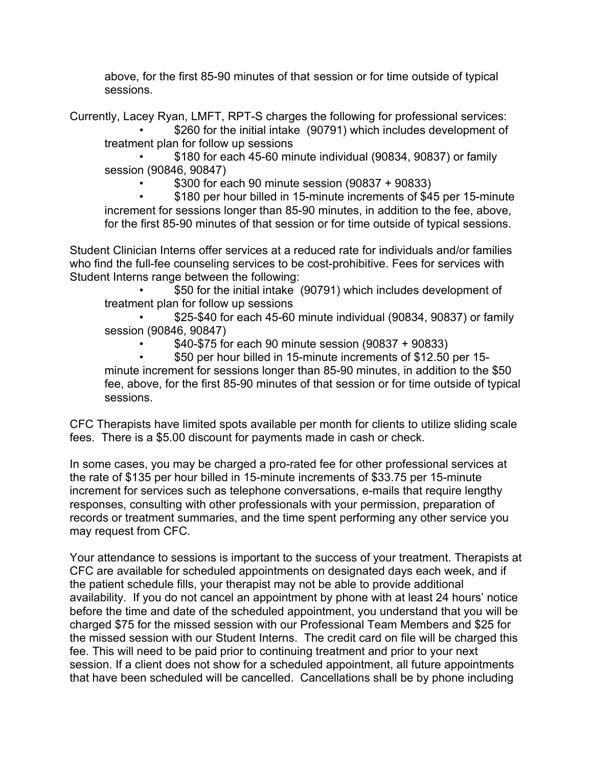above, for the first 85-90 minutes of that session or for time outside of typical sessions.

Currently, Lacey Ryan, LMFT, RPT-S charges the following for professional services:

\$260 for the initial intake (90791) which includes development of treatment plan for follow up sessions

• \$180 for each 45-60 minute individual (90834, 90837) or family session (90846, 90847)

• \$300 for each 90 minute session (90837 + 90833)

\$180 per hour billed in 15-minute increments of \$45 per 15-minute increment for sessions longer than 85-90 minutes, in addition to the fee, above, for the first 85-90 minutes of that session or for time outside of typical sessions.

Student Clinician Interns offer services at a reduced rate for individuals and/or families who find the full-fee counseling services to be cost-prohibitive. Fees for services with Student Interns range between the following:

• \$50 for the initial intake (90791) which includes development of treatment plan for follow up sessions

• \$25-\$40 for each 45-60 minute individual (90834, 90837) or family session (90846, 90847)

• \$40-\$75 for each 90 minute session (90837 + 90833)

• \$50 per hour billed in 15-minute increments of \$12.50 per 15 minute increment for sessions longer than 85-90 minutes, in addition to the \$50 fee, above, for the first 85-90 minutes of that session or for time outside of typical sessions.

CFC Therapists have limited spots available per month for clients to utilize sliding scale fees. There is a \$5.00 discount for payments made in cash or check.

In some cases, you may be charged a pro-rated fee for other professional services at the rate of \$135 per hour billed in 15-minute increments of \$33.75 per 15-minute increment for services such as telephone conversations, e-mails that require lengthy responses, consulting with other professionals with your permission, preparation of records or treatment summaries, and the time spent performing any other service you may request from CFC.

Your attendance to sessions is important to the success of your treatment. Therapists at CFC are available for scheduled appointments on designated days each week, and if the patient schedule fills, your therapist may not be able to provide additional availability. If you do not cancel an appointment by phone with at least 24 hours' notice before the time and date of the scheduled appointment, you understand that you will be charged \$75 for the missed session with our Professional Team Members and \$25 for the missed session with our Student Interns. The credit card on file will be charged this fee. This will need to be paid prior to continuing treatment and prior to your next session. If a client does not show for a scheduled appointment, all future appointments that have been scheduled will be cancelled. Cancellations shall be by phone including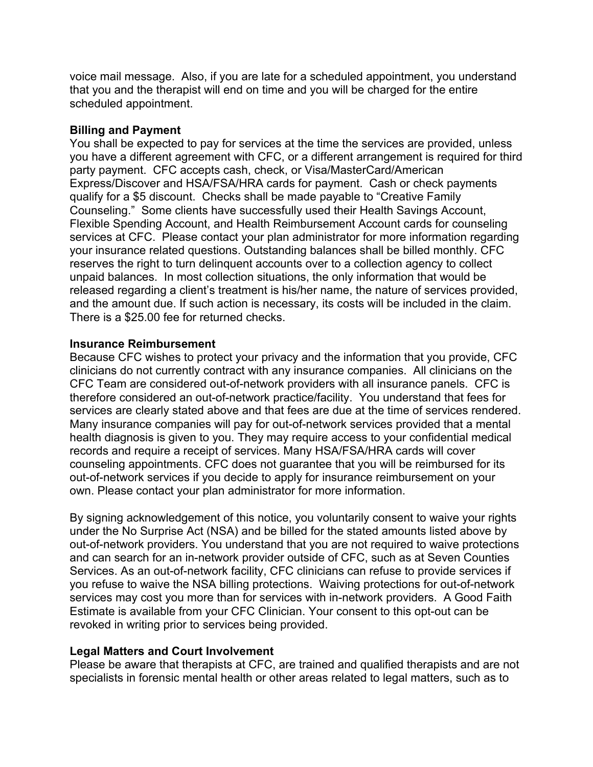voice mail message. Also, if you are late for a scheduled appointment, you understand that you and the therapist will end on time and you will be charged for the entire scheduled appointment.

### **Billing and Payment**

You shall be expected to pay for services at the time the services are provided, unless you have a different agreement with CFC, or a different arrangement is required for third party payment. CFC accepts cash, check, or Visa/MasterCard/American Express/Discover and HSA/FSA/HRA cards for payment. Cash or check payments qualify for a \$5 discount. Checks shall be made payable to "Creative Family Counseling." Some clients have successfully used their Health Savings Account, Flexible Spending Account, and Health Reimbursement Account cards for counseling services at CFC. Please contact your plan administrator for more information regarding your insurance related questions. Outstanding balances shall be billed monthly. CFC reserves the right to turn delinquent accounts over to a collection agency to collect unpaid balances. In most collection situations, the only information that would be released regarding a client's treatment is his/her name, the nature of services provided, and the amount due. If such action is necessary, its costs will be included in the claim. There is a \$25.00 fee for returned checks.

### **Insurance Reimbursement**

Because CFC wishes to protect your privacy and the information that you provide, CFC clinicians do not currently contract with any insurance companies. All clinicians on the CFC Team are considered out-of-network providers with all insurance panels. CFC is therefore considered an out-of-network practice/facility. You understand that fees for services are clearly stated above and that fees are due at the time of services rendered. Many insurance companies will pay for out-of-network services provided that a mental health diagnosis is given to you. They may require access to your confidential medical records and require a receipt of services. Many HSA/FSA/HRA cards will cover counseling appointments. CFC does not guarantee that you will be reimbursed for its out-of-network services if you decide to apply for insurance reimbursement on your own. Please contact your plan administrator for more information.

By signing acknowledgement of this notice, you voluntarily consent to waive your rights under the No Surprise Act (NSA) and be billed for the stated amounts listed above by out-of-network providers. You understand that you are not required to waive protections and can search for an in-network provider outside of CFC, such as at Seven Counties Services. As an out-of-network facility, CFC clinicians can refuse to provide services if you refuse to waive the NSA billing protections. Waiving protections for out-of-network services may cost you more than for services with in-network providers. A Good Faith Estimate is available from your CFC Clinician. Your consent to this opt-out can be revoked in writing prior to services being provided.

# **Legal Matters and Court Involvement**

Please be aware that therapists at CFC, are trained and qualified therapists and are not specialists in forensic mental health or other areas related to legal matters, such as to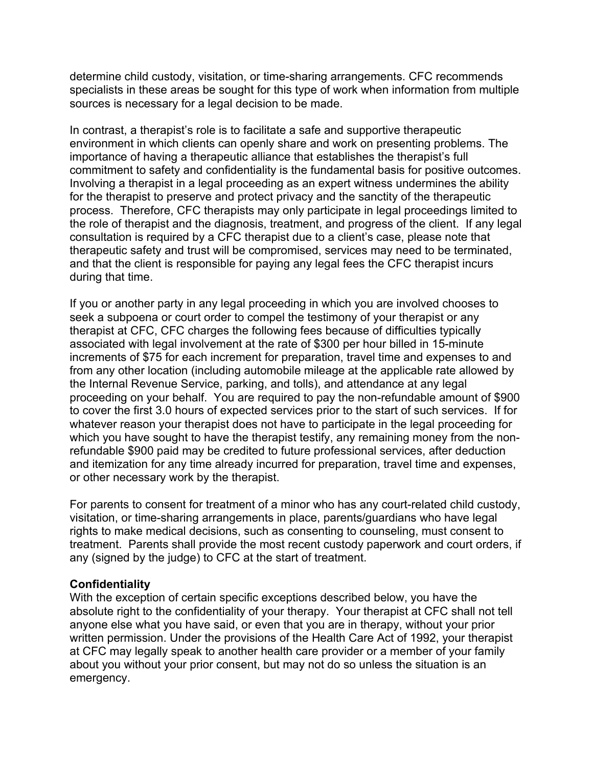determine child custody, visitation, or time-sharing arrangements. CFC recommends specialists in these areas be sought for this type of work when information from multiple sources is necessary for a legal decision to be made.

In contrast, a therapist's role is to facilitate a safe and supportive therapeutic environment in which clients can openly share and work on presenting problems. The importance of having a therapeutic alliance that establishes the therapist's full commitment to safety and confidentiality is the fundamental basis for positive outcomes. Involving a therapist in a legal proceeding as an expert witness undermines the ability for the therapist to preserve and protect privacy and the sanctity of the therapeutic process. Therefore, CFC therapists may only participate in legal proceedings limited to the role of therapist and the diagnosis, treatment, and progress of the client. If any legal consultation is required by a CFC therapist due to a client's case, please note that therapeutic safety and trust will be compromised, services may need to be terminated, and that the client is responsible for paying any legal fees the CFC therapist incurs during that time.

If you or another party in any legal proceeding in which you are involved chooses to seek a subpoena or court order to compel the testimony of your therapist or any therapist at CFC, CFC charges the following fees because of difficulties typically associated with legal involvement at the rate of \$300 per hour billed in 15-minute increments of \$75 for each increment for preparation, travel time and expenses to and from any other location (including automobile mileage at the applicable rate allowed by the Internal Revenue Service, parking, and tolls), and attendance at any legal proceeding on your behalf. You are required to pay the non-refundable amount of \$900 to cover the first 3.0 hours of expected services prior to the start of such services. If for whatever reason your therapist does not have to participate in the legal proceeding for which you have sought to have the therapist testify, any remaining money from the nonrefundable \$900 paid may be credited to future professional services, after deduction and itemization for any time already incurred for preparation, travel time and expenses, or other necessary work by the therapist.

For parents to consent for treatment of a minor who has any court-related child custody, visitation, or time-sharing arrangements in place, parents/guardians who have legal rights to make medical decisions, such as consenting to counseling, must consent to treatment. Parents shall provide the most recent custody paperwork and court orders, if any (signed by the judge) to CFC at the start of treatment.

# **Confidentiality**

With the exception of certain specific exceptions described below, you have the absolute right to the confidentiality of your therapy. Your therapist at CFC shall not tell anyone else what you have said, or even that you are in therapy, without your prior written permission. Under the provisions of the Health Care Act of 1992, your therapist at CFC may legally speak to another health care provider or a member of your family about you without your prior consent, but may not do so unless the situation is an emergency.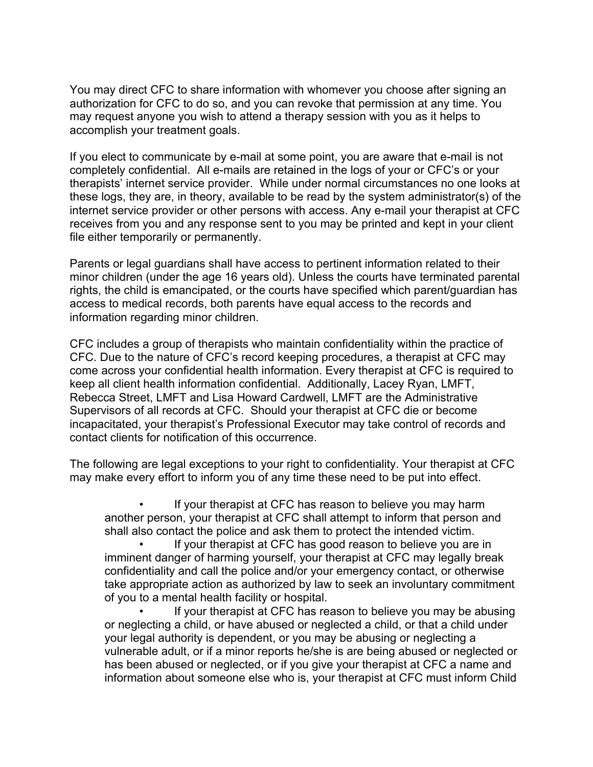You may direct CFC to share information with whomever you choose after signing an authorization for CFC to do so, and you can revoke that permission at any time. You may request anyone you wish to attend a therapy session with you as it helps to accomplish your treatment goals.

If you elect to communicate by e-mail at some point, you are aware that e-mail is not completely confidential. All e-mails are retained in the logs of your or CFC's or your therapists' internet service provider. While under normal circumstances no one looks at these logs, they are, in theory, available to be read by the system administrator(s) of the internet service provider or other persons with access. Any e-mail your therapist at CFC receives from you and any response sent to you may be printed and kept in your client file either temporarily or permanently.

Parents or legal guardians shall have access to pertinent information related to their minor children (under the age 16 years old). Unless the courts have terminated parental rights, the child is emancipated, or the courts have specified which parent/guardian has access to medical records, both parents have equal access to the records and information regarding minor children.

CFC includes a group of therapists who maintain confidentiality within the practice of CFC. Due to the nature of CFC's record keeping procedures, a therapist at CFC may come across your confidential health information. Every therapist at CFC is required to keep all client health information confidential. Additionally, Lacey Ryan, LMFT, Rebecca Street, LMFT and Lisa Howard Cardwell, LMFT are the Administrative Supervisors of all records at CFC. Should your therapist at CFC die or become incapacitated, your therapist's Professional Executor may take control of records and contact clients for notification of this occurrence.

The following are legal exceptions to your right to confidentiality. Your therapist at CFC may make every effort to inform you of any time these need to be put into effect.

If your therapist at CFC has reason to believe you may harm another person, your therapist at CFC shall attempt to inform that person and shall also contact the police and ask them to protect the intended victim.

If your therapist at CFC has good reason to believe you are in imminent danger of harming yourself, your therapist at CFC may legally break confidentiality and call the police and/or your emergency contact, or otherwise take appropriate action as authorized by law to seek an involuntary commitment of you to a mental health facility or hospital.

If your therapist at CFC has reason to believe you may be abusing or neglecting a child, or have abused or neglected a child, or that a child under your legal authority is dependent, or you may be abusing or neglecting a vulnerable adult, or if a minor reports he/she is are being abused or neglected or has been abused or neglected, or if you give your therapist at CFC a name and information about someone else who is, your therapist at CFC must inform Child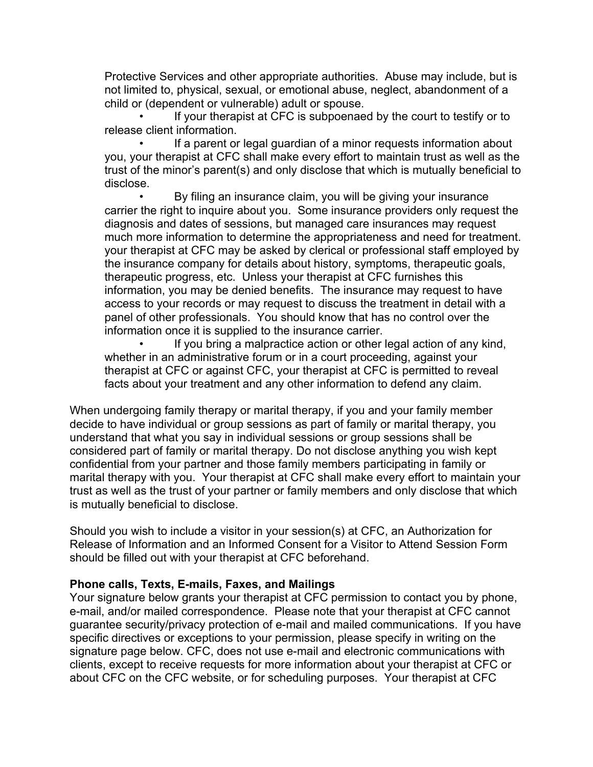Protective Services and other appropriate authorities. Abuse may include, but is not limited to, physical, sexual, or emotional abuse, neglect, abandonment of a child or (dependent or vulnerable) adult or spouse.

If your therapist at CFC is subpoenaed by the court to testify or to release client information.

If a parent or legal guardian of a minor requests information about you, your therapist at CFC shall make every effort to maintain trust as well as the trust of the minor's parent(s) and only disclose that which is mutually beneficial to disclose.

• By filing an insurance claim, you will be giving your insurance carrier the right to inquire about you. Some insurance providers only request the diagnosis and dates of sessions, but managed care insurances may request much more information to determine the appropriateness and need for treatment. your therapist at CFC may be asked by clerical or professional staff employed by the insurance company for details about history, symptoms, therapeutic goals, therapeutic progress, etc. Unless your therapist at CFC furnishes this information, you may be denied benefits. The insurance may request to have access to your records or may request to discuss the treatment in detail with a panel of other professionals. You should know that has no control over the information once it is supplied to the insurance carrier.

If you bring a malpractice action or other legal action of any kind, whether in an administrative forum or in a court proceeding, against your therapist at CFC or against CFC, your therapist at CFC is permitted to reveal facts about your treatment and any other information to defend any claim.

When undergoing family therapy or marital therapy, if you and your family member decide to have individual or group sessions as part of family or marital therapy, you understand that what you say in individual sessions or group sessions shall be considered part of family or marital therapy. Do not disclose anything you wish kept confidential from your partner and those family members participating in family or marital therapy with you. Your therapist at CFC shall make every effort to maintain your trust as well as the trust of your partner or family members and only disclose that which is mutually beneficial to disclose.

Should you wish to include a visitor in your session(s) at CFC, an Authorization for Release of Information and an Informed Consent for a Visitor to Attend Session Form should be filled out with your therapist at CFC beforehand.

# **Phone calls, Texts, E-mails, Faxes, and Mailings**

Your signature below grants your therapist at CFC permission to contact you by phone, e-mail, and/or mailed correspondence. Please note that your therapist at CFC cannot guarantee security/privacy protection of e-mail and mailed communications. If you have specific directives or exceptions to your permission, please specify in writing on the signature page below. CFC, does not use e-mail and electronic communications with clients, except to receive requests for more information about your therapist at CFC or about CFC on the CFC website, or for scheduling purposes. Your therapist at CFC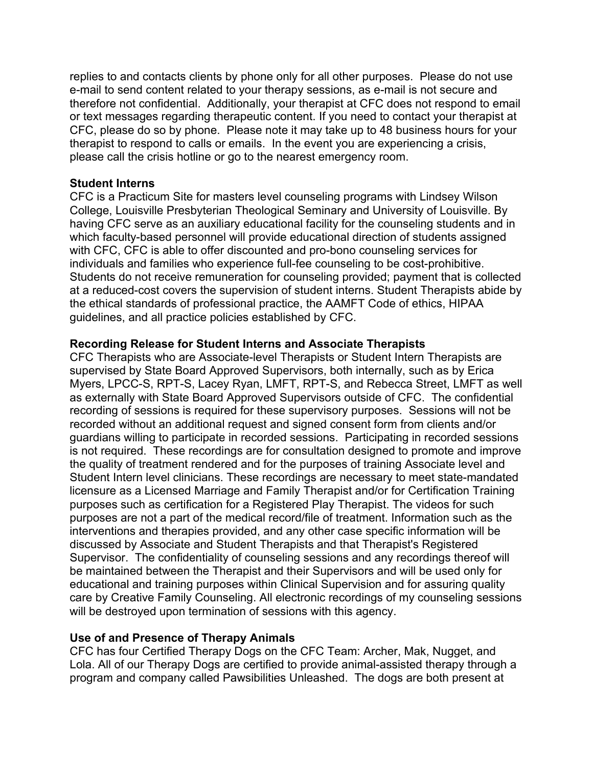replies to and contacts clients by phone only for all other purposes. Please do not use e-mail to send content related to your therapy sessions, as e-mail is not secure and therefore not confidential. Additionally, your therapist at CFC does not respond to email or text messages regarding therapeutic content. If you need to contact your therapist at CFC, please do so by phone. Please note it may take up to 48 business hours for your therapist to respond to calls or emails. In the event you are experiencing a crisis, please call the crisis hotline or go to the nearest emergency room.

### **Student Interns**

CFC is a Practicum Site for masters level counseling programs with Lindsey Wilson College, Louisville Presbyterian Theological Seminary and University of Louisville. By having CFC serve as an auxiliary educational facility for the counseling students and in which faculty-based personnel will provide educational direction of students assigned with CFC, CFC is able to offer discounted and pro-bono counseling services for individuals and families who experience full-fee counseling to be cost-prohibitive. Students do not receive remuneration for counseling provided; payment that is collected at a reduced-cost covers the supervision of student interns. Student Therapists abide by the ethical standards of professional practice, the AAMFT Code of ethics, HIPAA guidelines, and all practice policies established by CFC.

### **Recording Release for Student Interns and Associate Therapists**

CFC Therapists who are Associate-level Therapists or Student Intern Therapists are supervised by State Board Approved Supervisors, both internally, such as by Erica Myers, LPCC-S, RPT-S, Lacey Ryan, LMFT, RPT-S, and Rebecca Street, LMFT as well as externally with State Board Approved Supervisors outside of CFC. The confidential recording of sessions is required for these supervisory purposes. Sessions will not be recorded without an additional request and signed consent form from clients and/or guardians willing to participate in recorded sessions. Participating in recorded sessions is not required. These recordings are for consultation designed to promote and improve the quality of treatment rendered and for the purposes of training Associate level and Student Intern level clinicians. These recordings are necessary to meet state-mandated licensure as a Licensed Marriage and Family Therapist and/or for Certification Training purposes such as certification for a Registered Play Therapist. The videos for such purposes are not a part of the medical record/file of treatment. Information such as the interventions and therapies provided, and any other case specific information will be discussed by Associate and Student Therapists and that Therapist's Registered Supervisor. The confidentiality of counseling sessions and any recordings thereof will be maintained between the Therapist and their Supervisors and will be used only for educational and training purposes within Clinical Supervision and for assuring quality care by Creative Family Counseling. All electronic recordings of my counseling sessions will be destroyed upon termination of sessions with this agency.

# **Use of and Presence of Therapy Animals**

CFC has four Certified Therapy Dogs on the CFC Team: Archer, Mak, Nugget, and Lola. All of our Therapy Dogs are certified to provide animal-assisted therapy through a program and company called Pawsibilities Unleashed. The dogs are both present at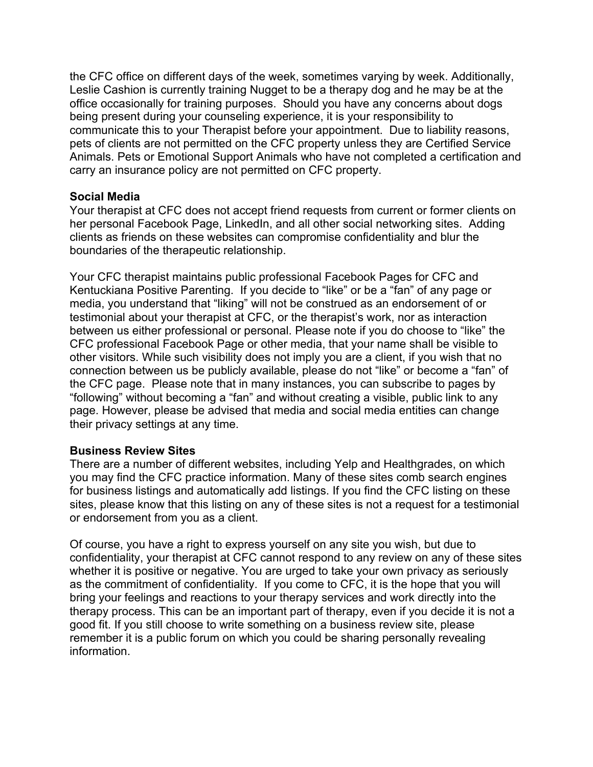the CFC office on different days of the week, sometimes varying by week. Additionally, Leslie Cashion is currently training Nugget to be a therapy dog and he may be at the office occasionally for training purposes. Should you have any concerns about dogs being present during your counseling experience, it is your responsibility to communicate this to your Therapist before your appointment. Due to liability reasons, pets of clients are not permitted on the CFC property unless they are Certified Service Animals. Pets or Emotional Support Animals who have not completed a certification and carry an insurance policy are not permitted on CFC property.

### **Social Media**

Your therapist at CFC does not accept friend requests from current or former clients on her personal Facebook Page, LinkedIn, and all other social networking sites. Adding clients as friends on these websites can compromise confidentiality and blur the boundaries of the therapeutic relationship.

Your CFC therapist maintains public professional Facebook Pages for CFC and Kentuckiana Positive Parenting. If you decide to "like" or be a "fan" of any page or media, you understand that "liking" will not be construed as an endorsement of or testimonial about your therapist at CFC, or the therapist's work, nor as interaction between us either professional or personal. Please note if you do choose to "like" the CFC professional Facebook Page or other media, that your name shall be visible to other visitors. While such visibility does not imply you are a client, if you wish that no connection between us be publicly available, please do not "like" or become a "fan" of the CFC page. Please note that in many instances, you can subscribe to pages by "following" without becoming a "fan" and without creating a visible, public link to any page. However, please be advised that media and social media entities can change their privacy settings at any time.

#### **Business Review Sites**

There are a number of different websites, including Yelp and Healthgrades, on which you may find the CFC practice information. Many of these sites comb search engines for business listings and automatically add listings. If you find the CFC listing on these sites, please know that this listing on any of these sites is not a request for a testimonial or endorsement from you as a client.

Of course, you have a right to express yourself on any site you wish, but due to confidentiality, your therapist at CFC cannot respond to any review on any of these sites whether it is positive or negative. You are urged to take your own privacy as seriously as the commitment of confidentiality. If you come to CFC, it is the hope that you will bring your feelings and reactions to your therapy services and work directly into the therapy process. This can be an important part of therapy, even if you decide it is not a good fit. If you still choose to write something on a business review site, please remember it is a public forum on which you could be sharing personally revealing information.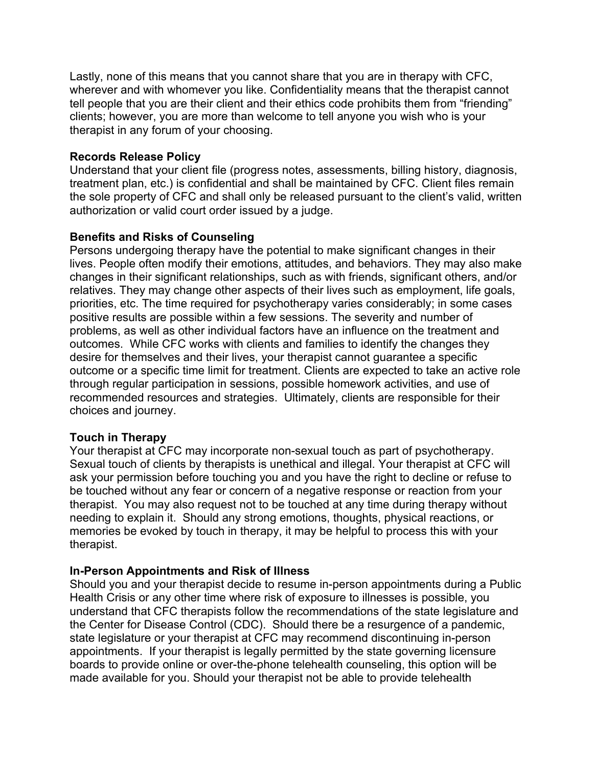Lastly, none of this means that you cannot share that you are in therapy with CFC, wherever and with whomever you like. Confidentiality means that the therapist cannot tell people that you are their client and their ethics code prohibits them from "friending" clients; however, you are more than welcome to tell anyone you wish who is your therapist in any forum of your choosing.

# **Records Release Policy**

Understand that your client file (progress notes, assessments, billing history, diagnosis, treatment plan, etc.) is confidential and shall be maintained by CFC. Client files remain the sole property of CFC and shall only be released pursuant to the client's valid, written authorization or valid court order issued by a judge.

# **Benefits and Risks of Counseling**

Persons undergoing therapy have the potential to make significant changes in their lives. People often modify their emotions, attitudes, and behaviors. They may also make changes in their significant relationships, such as with friends, significant others, and/or relatives. They may change other aspects of their lives such as employment, life goals, priorities, etc. The time required for psychotherapy varies considerably; in some cases positive results are possible within a few sessions. The severity and number of problems, as well as other individual factors have an influence on the treatment and outcomes. While CFC works with clients and families to identify the changes they desire for themselves and their lives, your therapist cannot guarantee a specific outcome or a specific time limit for treatment. Clients are expected to take an active role through regular participation in sessions, possible homework activities, and use of recommended resources and strategies. Ultimately, clients are responsible for their choices and journey.

# **Touch in Therapy**

Your therapist at CFC may incorporate non-sexual touch as part of psychotherapy. Sexual touch of clients by therapists is unethical and illegal. Your therapist at CFC will ask your permission before touching you and you have the right to decline or refuse to be touched without any fear or concern of a negative response or reaction from your therapist. You may also request not to be touched at any time during therapy without needing to explain it. Should any strong emotions, thoughts, physical reactions, or memories be evoked by touch in therapy, it may be helpful to process this with your therapist.

# **In-Person Appointments and Risk of Illness**

Should you and your therapist decide to resume in-person appointments during a Public Health Crisis or any other time where risk of exposure to illnesses is possible, you understand that CFC therapists follow the recommendations of the state legislature and the Center for Disease Control (CDC). Should there be a resurgence of a pandemic, state legislature or your therapist at CFC may recommend discontinuing in-person appointments. If your therapist is legally permitted by the state governing licensure boards to provide online or over-the-phone telehealth counseling, this option will be made available for you. Should your therapist not be able to provide telehealth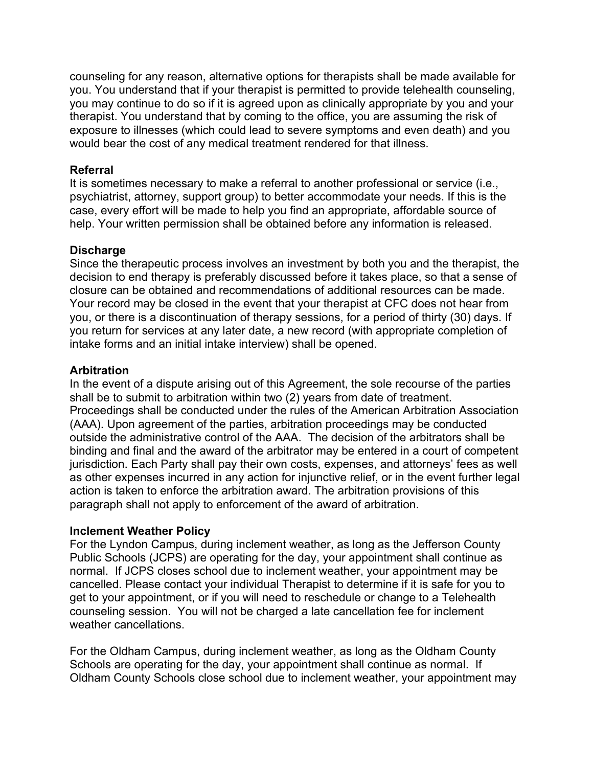counseling for any reason, alternative options for therapists shall be made available for you. You understand that if your therapist is permitted to provide telehealth counseling, you may continue to do so if it is agreed upon as clinically appropriate by you and your therapist. You understand that by coming to the office, you are assuming the risk of exposure to illnesses (which could lead to severe symptoms and even death) and you would bear the cost of any medical treatment rendered for that illness.

# **Referral**

It is sometimes necessary to make a referral to another professional or service (i.e., psychiatrist, attorney, support group) to better accommodate your needs. If this is the case, every effort will be made to help you find an appropriate, affordable source of help. Your written permission shall be obtained before any information is released.

### **Discharge**

Since the therapeutic process involves an investment by both you and the therapist, the decision to end therapy is preferably discussed before it takes place, so that a sense of closure can be obtained and recommendations of additional resources can be made. Your record may be closed in the event that your therapist at CFC does not hear from you, or there is a discontinuation of therapy sessions, for a period of thirty (30) days. If you return for services at any later date, a new record (with appropriate completion of intake forms and an initial intake interview) shall be opened.

### **Arbitration**

In the event of a dispute arising out of this Agreement, the sole recourse of the parties shall be to submit to arbitration within two (2) years from date of treatment. Proceedings shall be conducted under the rules of the American Arbitration Association (AAA). Upon agreement of the parties, arbitration proceedings may be conducted outside the administrative control of the AAA. The decision of the arbitrators shall be binding and final and the award of the arbitrator may be entered in a court of competent jurisdiction. Each Party shall pay their own costs, expenses, and attorneys' fees as well as other expenses incurred in any action for injunctive relief, or in the event further legal action is taken to enforce the arbitration award. The arbitration provisions of this paragraph shall not apply to enforcement of the award of arbitration.

#### **Inclement Weather Policy**

For the Lyndon Campus, during inclement weather, as long as the Jefferson County Public Schools (JCPS) are operating for the day, your appointment shall continue as normal. If JCPS closes school due to inclement weather, your appointment may be cancelled. Please contact your individual Therapist to determine if it is safe for you to get to your appointment, or if you will need to reschedule or change to a Telehealth counseling session. You will not be charged a late cancellation fee for inclement weather cancellations.

For the Oldham Campus, during inclement weather, as long as the Oldham County Schools are operating for the day, your appointment shall continue as normal. If Oldham County Schools close school due to inclement weather, your appointment may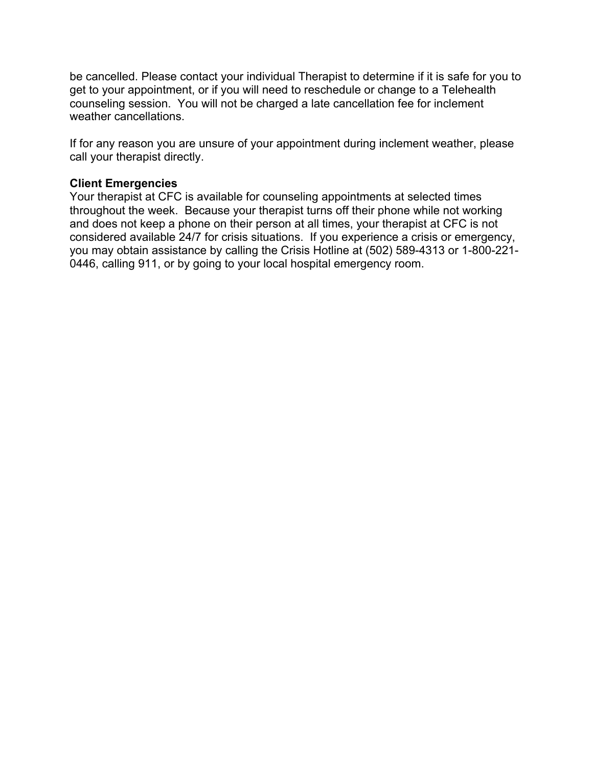be cancelled. Please contact your individual Therapist to determine if it is safe for you to get to your appointment, or if you will need to reschedule or change to a Telehealth counseling session. You will not be charged a late cancellation fee for inclement weather cancellations.

If for any reason you are unsure of your appointment during inclement weather, please call your therapist directly.

# **Client Emergencies**

Your therapist at CFC is available for counseling appointments at selected times throughout the week. Because your therapist turns off their phone while not working and does not keep a phone on their person at all times, your therapist at CFC is not considered available 24/7 for crisis situations. If you experience a crisis or emergency, you may obtain assistance by calling the Crisis Hotline at (502) 589-4313 or 1-800-221- 0446, calling 911, or by going to your local hospital emergency room.